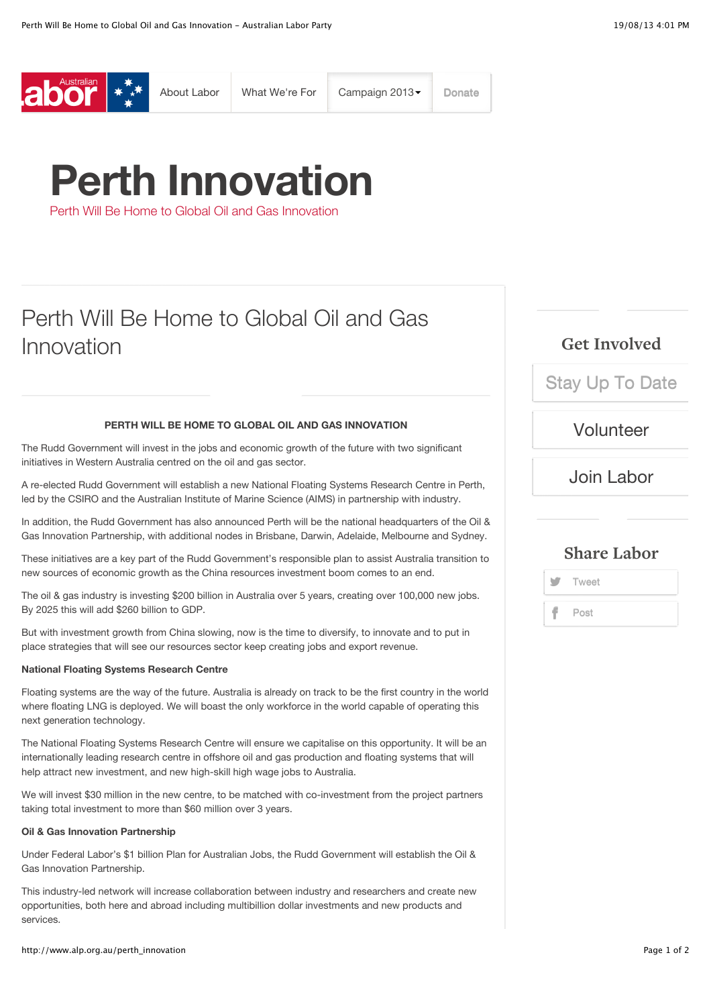

# **Perth Innovation**

Perth Will Be Home to Global Oil and Gas Innovation

## Perth Will Be Home to Global Oil and Gas Innovation

#### **PERTH WILL BE HOME TO GLOBAL OIL AND GAS INNOVATION**

The Rudd Government will invest in the jobs and economic growth of the future with two significant initiatives in Western Australia centred on the oil and gas sector.

A re-elected Rudd Government will establish a new National Floating Systems Research Centre in Perth, led by the CSIRO and the Australian Institute of Marine Science (AIMS) in partnership with industry.

In addition, the Rudd Government has also announced Perth will be the national headquarters of the Oil & Gas Innovation Partnership, with additional nodes in Brisbane, Darwin, Adelaide, Melbourne and Sydney.

These initiatives are a key part of the Rudd Government's responsible plan to assist Australia transition to new sources of economic growth as the China resources investment boom comes to an end.

The oil & gas industry is investing \$200 billion in Australia over 5 years, creating over 100,000 new jobs. By 2025 this will add \$260 billion to GDP.

But with investment growth from China slowing, now is the time to diversify, to innovate and to put in place strategies that will see our resources sector keep creating jobs and export revenue.

#### **National Floating Systems Research Centre**

Floating systems are the way of the future. Australia is already on track to be the first country in the world where floating LNG is deployed. We will boast the only workforce in the world capable of operating this next generation technology.

The National Floating Systems Research Centre will ensure we capitalise on this opportunity. It will be an internationally leading research centre in offshore oil and gas production and floating systems that will help attract new investment, and new high-skill high wage jobs to Australia.

We will invest \$30 million in the new centre, to be matched with co-investment from the project partners taking total investment to more than \$60 million over 3 years.

#### **Oil & Gas Innovation Partnership**

Under Federal Labor's \$1 billion Plan for Australian Jobs, the Rudd Government will establish the Oil & Gas Innovation Partnership.

This industry-led network will increase collaboration between industry and researchers and create new opportunities, both here and abroad including multibillion dollar investments and new products and services.

http://www.alp.org.au/perth\_innovation Page 1 of 2

## **Get Involved**

[Stay Up To Date](http://www.alp.org.au/stay_updated)

[Volunteer](http://www.alp.org.au/volunteer)

## [Join Labor](http://www.alp.org.au/joinlabor)

### **Share Labor**

**Tweet** Post